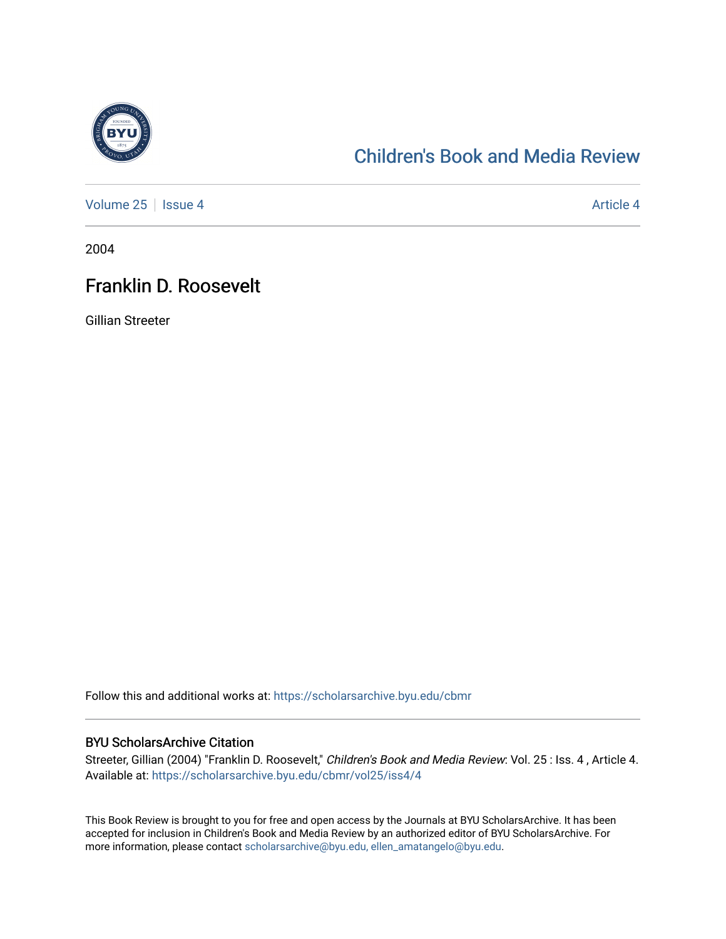

## [Children's Book and Media Review](https://scholarsarchive.byu.edu/cbmr)

[Volume 25](https://scholarsarchive.byu.edu/cbmr/vol25) | [Issue 4](https://scholarsarchive.byu.edu/cbmr/vol25/iss4) Article 4

2004

## Franklin D. Roosevelt

Gillian Streeter

Follow this and additional works at: [https://scholarsarchive.byu.edu/cbmr](https://scholarsarchive.byu.edu/cbmr?utm_source=scholarsarchive.byu.edu%2Fcbmr%2Fvol25%2Fiss4%2F4&utm_medium=PDF&utm_campaign=PDFCoverPages) 

## BYU ScholarsArchive Citation

Streeter, Gillian (2004) "Franklin D. Roosevelt," Children's Book and Media Review: Vol. 25 : Iss. 4 , Article 4. Available at: [https://scholarsarchive.byu.edu/cbmr/vol25/iss4/4](https://scholarsarchive.byu.edu/cbmr/vol25/iss4/4?utm_source=scholarsarchive.byu.edu%2Fcbmr%2Fvol25%2Fiss4%2F4&utm_medium=PDF&utm_campaign=PDFCoverPages) 

This Book Review is brought to you for free and open access by the Journals at BYU ScholarsArchive. It has been accepted for inclusion in Children's Book and Media Review by an authorized editor of BYU ScholarsArchive. For more information, please contact [scholarsarchive@byu.edu, ellen\\_amatangelo@byu.edu.](mailto:scholarsarchive@byu.edu,%20ellen_amatangelo@byu.edu)